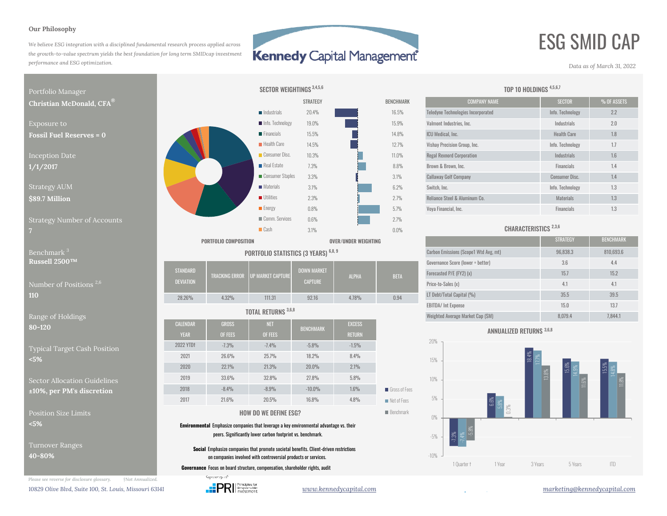#### **Our Philosophy**

*We believe ESG integration with a disciplined fundamental research process applied across the growth-to-value spectrum yields the best foundation for long term SMIDcap investment performance and ESG optimization.*

## **Kennedy Capital Management**

# ESG SMID CAP

*Data as of March 31, 2022*



**80-120**

Typical Target Cash Position **<5%**

Sector Allocation Guidelines**±10%, per PM's discretion**

Position Size Limits**<5%**

Turnover Ranges **40-80%**

*Please see reverse for disclosure glossary. †Not Annualized.* 10829 Olive Blvd, Suite 100, St. Louis, Missouri 63141 *www.wennedycapital.com www.kennedycapital.com marketing@kennedycapital.com* 



| ussell $2500TM$                     |                  |       |                                     |                    |              |             | Governance Score (lower = better) | 3.6  | 4.4  |
|-------------------------------------|------------------|-------|-------------------------------------|--------------------|--------------|-------------|-----------------------------------|------|------|
|                                     | <b>STANDARD</b>  |       | I TRACKING ERROR TUP MARKET CAPTURE | <b>DOWN MARKET</b> | <b>ALPHA</b> | <b>BETA</b> | Forecasted P/E (FY2) (x)          | 15.7 | 15.2 |
| umber of Positions <sup>2,6</sup> . | <b>DEVIATION</b> |       |                                     | <b>CAPTURE</b>     |              |             | Price-to-Sales (x)                |      | 4.1  |
|                                     | 28.26%           | 4.32% | 111.31                              | 92.16              | 4.78%        | 0.94        | LT Debt/Total Capital (%)         | 35.5 | 39.5 |
|                                     |                  |       |                                     |                    |              |             | <b>EBITDA/ Int Expense</b>        | 15.0 | 13.7 |

#### TOTAL RETURNS 3,6,8

| $\epsilon$ or holdings                         |                                           |                |                |                  |                                        |                            |  |  |  |
|------------------------------------------------|-------------------------------------------|----------------|----------------|------------------|----------------------------------------|----------------------------|--|--|--|
| $\overline{0}$                                 | <b>CALENDAR</b>                           | <b>GROSS</b>   | <b>NET</b>     | <b>BENCHMARK</b> | <b>EXCESS</b>                          |                            |  |  |  |
|                                                | <b>YEAR</b>                               | <b>OF FEES</b> | <b>OF FEES</b> |                  | <b>RETURN</b>                          |                            |  |  |  |
| al Target Cash Position                        | 2022 YTDt                                 | $-7.3%$        | $-7.4%$        | $-5.8%$          | $-1.5%$                                |                            |  |  |  |
|                                                | 2021                                      | 26.6%          | 25.7%          | 18.2%            | 8.4%<br>20.0%<br>2.1%<br>27.8%<br>5.8% |                            |  |  |  |
| r Allocation Guidelines<br>per PM's discretion | 2020                                      | 22.1%          | 21.3%          |                  |                                        |                            |  |  |  |
|                                                | 2019                                      | 33.6%          | 32.8%          |                  |                                        |                            |  |  |  |
|                                                | 2018                                      | $-8.4%$        | $-8.9%$        | $-10.0%$         | 1.6%                                   | Gross of Fees              |  |  |  |
|                                                | 2017                                      | 21.6%          | 20.5%          | 16.8%            | 4.8%                                   | $\blacksquare$ Net of Fees |  |  |  |
| on Size Limits .                               | <b>Benchmark</b><br>HOW DO WE DEFINE ESG? |                |                |                  |                                        |                            |  |  |  |

### HOW DO WE DEFINE ESG?

**Environmental** Emphasize companies that leverage a key environmental advantage vs. their peers. Significantly lower carbon footprint vs. benchmark.

**Social** Emphasize companies that promote societal benefits. Client-driven restrictions on companies involved with controversial products or services.

**Governance** Focus on board structure, compensation, shareholder rights, audit



#### TOP 10 HOLDINGS 4,5,6,7

| <b>MARK</b>    | <b>COMPANY NAME</b>                       | <b>SECTOR</b>         | % OF ASSETS |
|----------------|-------------------------------------------|-----------------------|-------------|
| $5\%$          | <b>Teledyne Technologies Incorporated</b> | Info. Technology      | 2.2         |
| $\frac{1}{6}$  | Valmont Industries, Inc.                  | Industrials           | 2.0         |
| $3\%$          | <b>ICU</b> Medical, Inc.                  | <b>Health Care</b>    | 1.8         |
| $7\%$          | Vishay Precision Group, Inc.              | Info. Technology      | 1.7         |
| $\frac{9}{6}$  | <b>Regal Rexnord Corporation</b>          | <b>Industrials</b>    | 1.6         |
| 3%             | Brown & Brown, Inc.                       | <b>Financials</b>     | 1.4         |
| $\frac{1}{2}$  | <b>Callaway Golf Company</b>              | <b>Consumer Disc.</b> | 1.4         |
| $\frac{10}{6}$ | Switch, Inc.                              | Info. Technology      | 1.3         |
| $\frac{0}{0}$  | Reliance Steel & Aluminum Co.             | <b>Materials</b>      | 1.3         |
| $\frac{9}{0}$  | Voya Financial, Inc.                      | <b>Financials</b>     | 1.3         |
|                |                                           |                       |             |

### CHARACTERISTICS 2,3,6

|                                             |                            | <b>PORTFOLIO COMPOSITION</b>     |                                       |                    | OVER/UNDER WEIGHTING                  |             |                                   | <b>STRATEGY</b> | <b>BENCHMARK</b> |
|---------------------------------------------|----------------------------|----------------------------------|---------------------------------------|--------------------|---------------------------------------|-------------|-----------------------------------|-----------------|------------------|
| Benchmark <sup>3</sup>                      |                            |                                  | PORTFOLIO STATISTICS (3 YEARS) 6,8, 9 |                    | Carbon Emissions (Scope1 Wtd Avg, mt) | 96,838.3    | 810,693.6                         |                 |                  |
| Russell $2500^{\, \text{\tiny{TM}}}$        |                            |                                  |                                       |                    |                                       |             | Governance Score (lower = better) | 3.6             | 4.4              |
| Number of Positions <sup>2,6</sup> .<br>110 | STANDARD                   | TRACKING ERROR UP MARKET CAPTURE |                                       | <b>DOWN MARKET</b> | <b>ALPHA</b>                          | <b>BETA</b> | Forecasted P/E (FY2) (x)          | 15.7            | 15.2             |
|                                             | <b>DEVIATION</b>           |                                  |                                       | <b>CAPTURE</b>     |                                       |             | Price-to-Sales (x)                | 4.1             | 4.1              |
|                                             | 28.26%                     | 4.32%                            | 111.31                                | 92.16              | 4.78%                                 | 0.94        | LT Debt/Total Capital (%)         | 35.5            | 39.5             |
|                                             | <b>TOTAL RETURNS 3,6,8</b> |                                  |                                       |                    |                                       |             | <b>EBITDA/ Int Expense</b>        | 15.0            | 13.7             |
| Range of Holdings                           |                            |                                  |                                       |                    |                                       |             | Weighted Average Market Cap (SM)  | 8.079.4         | 7,844.1          |

#### ANNUALIZED RETURNS 3,6,8